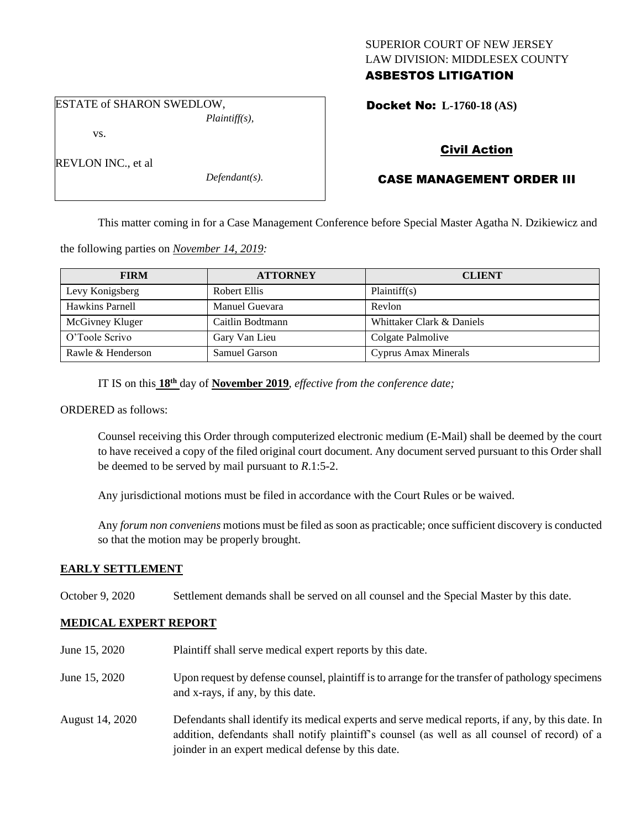## SUPERIOR COURT OF NEW JERSEY LAW DIVISION: MIDDLESEX COUNTY ASBESTOS LITIGATION

ESTATE of SHARON SWEDLOW, *Plaintiff(s),*

vs.

REVLON INC., et al

*Defendant(s).*

Docket No: **L-1760-18 (AS)** 

# Civil Action

## CASE MANAGEMENT ORDER III

This matter coming in for a Case Management Conference before Special Master Agatha N. Dzikiewicz and

the following parties on *November 14, 2019:*

| <b>FIRM</b>       | <b>ATTORNEY</b>      | <b>CLIENT</b>             |
|-------------------|----------------------|---------------------------|
| Levy Konigsberg   | Robert Ellis         | Plaintiff(s)              |
| Hawkins Parnell   | Manuel Guevara       | Revlon                    |
| McGivney Kluger   | Caitlin Bodtmann     | Whittaker Clark & Daniels |
| O'Toole Scrivo    | Gary Van Lieu        | Colgate Palmolive         |
| Rawle & Henderson | <b>Samuel Garson</b> | Cyprus Amax Minerals      |

IT IS on this  $18<sup>th</sup>$  day of **November 2019**, *effective from the conference date*;

ORDERED as follows:

Counsel receiving this Order through computerized electronic medium (E-Mail) shall be deemed by the court to have received a copy of the filed original court document. Any document served pursuant to this Order shall be deemed to be served by mail pursuant to *R*.1:5-2.

Any jurisdictional motions must be filed in accordance with the Court Rules or be waived.

Any *forum non conveniens* motions must be filed as soon as practicable; once sufficient discovery is conducted so that the motion may be properly brought.

## **EARLY SETTLEMENT**

October 9, 2020 Settlement demands shall be served on all counsel and the Special Master by this date.

## **MEDICAL EXPERT REPORT**

June 15, 2020 Plaintiff shall serve medical expert reports by this date. June 15, 2020 Upon request by defense counsel, plaintiff is to arrange for the transfer of pathology specimens and x-rays, if any, by this date. August 14, 2020 Defendants shall identify its medical experts and serve medical reports, if any, by this date. In addition, defendants shall notify plaintiff's counsel (as well as all counsel of record) of a joinder in an expert medical defense by this date.